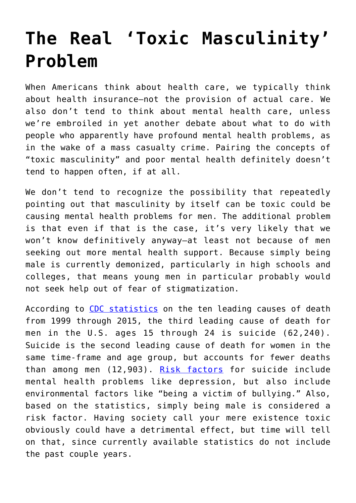## **[The Real 'Toxic Masculinity'](https://intellectualtakeout.org/2017/12/the-real-toxic-masculinity-problem/) [Problem](https://intellectualtakeout.org/2017/12/the-real-toxic-masculinity-problem/)**

When Americans think about health care, we typically think about health insurance—not the provision of actual care. We also don't tend to think about mental health care, unless we're embroiled in yet another debate about what to do with people who apparently have profound mental health problems, as in the wake of a mass casualty crime. Pairing the concepts of "toxic masculinity" and poor mental health definitely doesn't tend to happen often, if at all.

We don't tend to recognize the possibility that repeatedly pointing out that masculinity by itself can be toxic could be causing mental health problems for men. The additional problem is that even if that is the case, it's very likely that we won't know definitively anyway—at least not because of men seeking out more mental health support. Because simply being male is currently demonized, particularly in high schools and colleges, that means young men in particular probably would not seek help out of fear of stigmatization.

According to [CDC statistics](https://www.cdc.gov/violenceprevention/suicide/statistics/index.html) on the ten leading causes of death from 1999 through 2015, the third leading cause of death for men in the U.S. ages 15 through 24 is suicide (62,240). Suicide is the second leading cause of death for women in the same time-frame and age group, but accounts for fewer deaths than among men (12,903). [Risk factors](https://www.healthline.com/health/suicide-and-suicidal-behavior#Support7) for suicide include mental health problems like depression, but also include environmental factors like "being a victim of bullying." Also, based on the statistics, simply being male is considered a risk factor. Having society call your mere existence toxic obviously could have a detrimental effect, but time will tell on that, since currently available statistics do not include the past couple years.